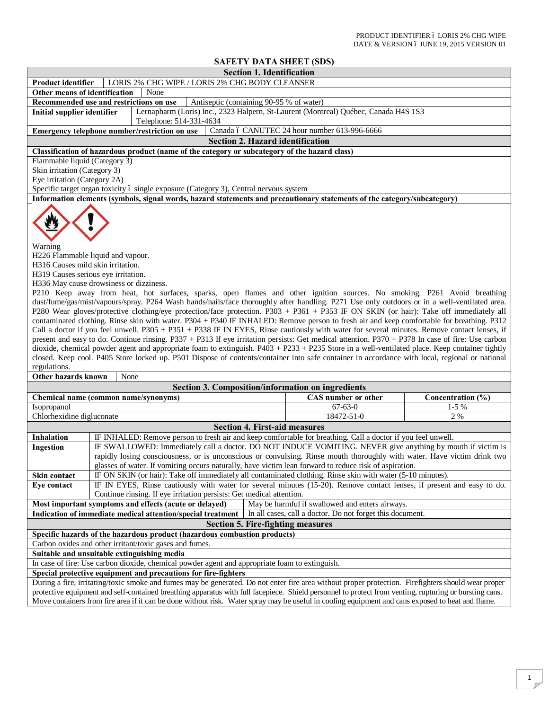## **SAFETY DATA SHEET (SDS)**

|                                                                                                                                                                                                                                                                                                                                                                                                                                                                                                                                                                                                                                                                                                                                                                                                                                                                                                                                                                                                                                                                                                                                                                                                                                                                                                                                                               | SAFEI Y DATA SHEET (SDS)                                                                                                 |                                                 |                   |  |
|---------------------------------------------------------------------------------------------------------------------------------------------------------------------------------------------------------------------------------------------------------------------------------------------------------------------------------------------------------------------------------------------------------------------------------------------------------------------------------------------------------------------------------------------------------------------------------------------------------------------------------------------------------------------------------------------------------------------------------------------------------------------------------------------------------------------------------------------------------------------------------------------------------------------------------------------------------------------------------------------------------------------------------------------------------------------------------------------------------------------------------------------------------------------------------------------------------------------------------------------------------------------------------------------------------------------------------------------------------------|--------------------------------------------------------------------------------------------------------------------------|-------------------------------------------------|-------------------|--|
|                                                                                                                                                                                                                                                                                                                                                                                                                                                                                                                                                                                                                                                                                                                                                                                                                                                                                                                                                                                                                                                                                                                                                                                                                                                                                                                                                               | <b>Section 1. Identification</b>                                                                                         |                                                 |                   |  |
| Product identifier                                                                                                                                                                                                                                                                                                                                                                                                                                                                                                                                                                                                                                                                                                                                                                                                                                                                                                                                                                                                                                                                                                                                                                                                                                                                                                                                            | LORIS 2% CHG WIPE / LORIS 2% CHG BODY CLEANSER                                                                           |                                                 |                   |  |
| Other means of identification                                                                                                                                                                                                                                                                                                                                                                                                                                                                                                                                                                                                                                                                                                                                                                                                                                                                                                                                                                                                                                                                                                                                                                                                                                                                                                                                 | None                                                                                                                     |                                                 |                   |  |
| Recommended use and restrictions on use<br>Antiseptic (containing 90-95 % of water)                                                                                                                                                                                                                                                                                                                                                                                                                                                                                                                                                                                                                                                                                                                                                                                                                                                                                                                                                                                                                                                                                                                                                                                                                                                                           |                                                                                                                          |                                                 |                   |  |
| Lernapharm (Loris) Inc., 2323 Halpern, St-Laurent (Montreal) Québec, Canada H4S 1S3<br><b>Initial supplier identifier</b>                                                                                                                                                                                                                                                                                                                                                                                                                                                                                                                                                                                                                                                                                                                                                                                                                                                                                                                                                                                                                                                                                                                                                                                                                                     |                                                                                                                          |                                                 |                   |  |
|                                                                                                                                                                                                                                                                                                                                                                                                                                                                                                                                                                                                                                                                                                                                                                                                                                                                                                                                                                                                                                                                                                                                                                                                                                                                                                                                                               | Telephone: 514-331-4634<br>Emergency telephone number/restriction on use                                                 | Canada ó CANUTEC 24 hour number 613-996-6666    |                   |  |
|                                                                                                                                                                                                                                                                                                                                                                                                                                                                                                                                                                                                                                                                                                                                                                                                                                                                                                                                                                                                                                                                                                                                                                                                                                                                                                                                                               | <b>Section 2. Hazard identification</b>                                                                                  |                                                 |                   |  |
|                                                                                                                                                                                                                                                                                                                                                                                                                                                                                                                                                                                                                                                                                                                                                                                                                                                                                                                                                                                                                                                                                                                                                                                                                                                                                                                                                               |                                                                                                                          |                                                 |                   |  |
|                                                                                                                                                                                                                                                                                                                                                                                                                                                                                                                                                                                                                                                                                                                                                                                                                                                                                                                                                                                                                                                                                                                                                                                                                                                                                                                                                               | Classification of hazardous product (name of the category or subcategory of the hazard class)                            |                                                 |                   |  |
| Flammable liquid (Category 3)<br>Skin irritation (Category 3)                                                                                                                                                                                                                                                                                                                                                                                                                                                                                                                                                                                                                                                                                                                                                                                                                                                                                                                                                                                                                                                                                                                                                                                                                                                                                                 |                                                                                                                          |                                                 |                   |  |
| Eye irritation (Category 2A)                                                                                                                                                                                                                                                                                                                                                                                                                                                                                                                                                                                                                                                                                                                                                                                                                                                                                                                                                                                                                                                                                                                                                                                                                                                                                                                                  |                                                                                                                          |                                                 |                   |  |
|                                                                                                                                                                                                                                                                                                                                                                                                                                                                                                                                                                                                                                                                                                                                                                                                                                                                                                                                                                                                                                                                                                                                                                                                                                                                                                                                                               | Specific target organ toxicity ó single exposure (Category 3), Central nervous system                                    |                                                 |                   |  |
|                                                                                                                                                                                                                                                                                                                                                                                                                                                                                                                                                                                                                                                                                                                                                                                                                                                                                                                                                                                                                                                                                                                                                                                                                                                                                                                                                               | Information elements (symbols, signal words, hazard statements and precautionary statements of the category/subcategory) |                                                 |                   |  |
| Warning<br>H226 Flammable liquid and vapour.<br>H316 Causes mild skin irritation.<br>H319 Causes serious eye irritation.<br>H336 May cause drowsiness or dizziness.<br>P210 Keep away from heat, hot surfaces, sparks, open flames and other ignition sources. No smoking. P261 Avoid breathing<br>dust/fume/gas/mist/vapours/spray. P264 Wash hands/nails/face thoroughly after handling. P271 Use only outdoors or in a well-ventilated area.<br>P280 Wear gloves/protective clothing/eye protection/face protection. P303 + P361 + P353 IF ON SKIN (or hair): Take off immediately all<br>contaminated clothing. Rinse skin with water. P304 + P340 IF INHALED: Remove person to fresh air and keep comfortable for breathing. P312<br>Call a doctor if you feel unwell. P305 + P351 + P338 IF IN EYES, Rinse cautiously with water for several minutes. Remove contact lenses, if<br>present and easy to do. Continue rinsing. P337 + P313 If eye irritation persists: Get medical attention. P370 + P378 In case of fire: Use carbon<br>dioxide, chemical powder agent and appropriate foam to extinguish. P403 + P233 + P235 Store in a well-ventilated place. Keep container tightly<br>closed. Keep cool. P405 Store locked up. P501 Dispose of contents/container into safe container in accordance with local, regional or national<br>regulations. |                                                                                                                          |                                                 |                   |  |
| Other hazards known                                                                                                                                                                                                                                                                                                                                                                                                                                                                                                                                                                                                                                                                                                                                                                                                                                                                                                                                                                                                                                                                                                                                                                                                                                                                                                                                           | None                                                                                                                     |                                                 |                   |  |
|                                                                                                                                                                                                                                                                                                                                                                                                                                                                                                                                                                                                                                                                                                                                                                                                                                                                                                                                                                                                                                                                                                                                                                                                                                                                                                                                                               | <b>Section 3. Composition/information on ingredients</b>                                                                 |                                                 |                   |  |
|                                                                                                                                                                                                                                                                                                                                                                                                                                                                                                                                                                                                                                                                                                                                                                                                                                                                                                                                                                                                                                                                                                                                                                                                                                                                                                                                                               |                                                                                                                          | CAS number or other                             |                   |  |
|                                                                                                                                                                                                                                                                                                                                                                                                                                                                                                                                                                                                                                                                                                                                                                                                                                                                                                                                                                                                                                                                                                                                                                                                                                                                                                                                                               | Chemical name (common name/synonyms)                                                                                     |                                                 | Concentration (%) |  |
| Isopropanol                                                                                                                                                                                                                                                                                                                                                                                                                                                                                                                                                                                                                                                                                                                                                                                                                                                                                                                                                                                                                                                                                                                                                                                                                                                                                                                                                   |                                                                                                                          | $67 - 63 - 0$                                   | $1-5%$            |  |
| Chlorhexidine digluconate                                                                                                                                                                                                                                                                                                                                                                                                                                                                                                                                                                                                                                                                                                                                                                                                                                                                                                                                                                                                                                                                                                                                                                                                                                                                                                                                     |                                                                                                                          | 18472-51-0                                      | 2 %               |  |
|                                                                                                                                                                                                                                                                                                                                                                                                                                                                                                                                                                                                                                                                                                                                                                                                                                                                                                                                                                                                                                                                                                                                                                                                                                                                                                                                                               | <b>Section 4. First-aid measures</b>                                                                                     |                                                 |                   |  |
| <b>Inhalation</b>                                                                                                                                                                                                                                                                                                                                                                                                                                                                                                                                                                                                                                                                                                                                                                                                                                                                                                                                                                                                                                                                                                                                                                                                                                                                                                                                             | IF INHALED: Remove person to fresh air and keep comfortable for breathing. Call a doctor if you feel unwell.             |                                                 |                   |  |
| <b>Ingestion</b>                                                                                                                                                                                                                                                                                                                                                                                                                                                                                                                                                                                                                                                                                                                                                                                                                                                                                                                                                                                                                                                                                                                                                                                                                                                                                                                                              | IF SWALLOWED: Immediately call a doctor. DO NOT INDUCE VOMITING. NEVER give anything by mouth if victim is               |                                                 |                   |  |
|                                                                                                                                                                                                                                                                                                                                                                                                                                                                                                                                                                                                                                                                                                                                                                                                                                                                                                                                                                                                                                                                                                                                                                                                                                                                                                                                                               | rapidly losing consciousness, or is unconscious or convulsing. Rinse mouth thoroughly with water. Have victim drink two  |                                                 |                   |  |
|                                                                                                                                                                                                                                                                                                                                                                                                                                                                                                                                                                                                                                                                                                                                                                                                                                                                                                                                                                                                                                                                                                                                                                                                                                                                                                                                                               | glasses of water. If vomiting occurs naturally, have victim lean forward to reduce risk of aspiration.                   |                                                 |                   |  |
|                                                                                                                                                                                                                                                                                                                                                                                                                                                                                                                                                                                                                                                                                                                                                                                                                                                                                                                                                                                                                                                                                                                                                                                                                                                                                                                                                               | IF ON SKIN (or hair): Take off immediately all contaminated clothing. Rinse skin with water (5-10 minutes).              |                                                 |                   |  |
| Skin contact                                                                                                                                                                                                                                                                                                                                                                                                                                                                                                                                                                                                                                                                                                                                                                                                                                                                                                                                                                                                                                                                                                                                                                                                                                                                                                                                                  |                                                                                                                          |                                                 |                   |  |
| Eye contact                                                                                                                                                                                                                                                                                                                                                                                                                                                                                                                                                                                                                                                                                                                                                                                                                                                                                                                                                                                                                                                                                                                                                                                                                                                                                                                                                   | IF IN EYES, Rinse cautiously with water for several minutes (15-20). Remove contact lenses, if present and easy to do.   |                                                 |                   |  |
|                                                                                                                                                                                                                                                                                                                                                                                                                                                                                                                                                                                                                                                                                                                                                                                                                                                                                                                                                                                                                                                                                                                                                                                                                                                                                                                                                               | Continue rinsing. If eye irritation persists: Get medical attention.                                                     |                                                 |                   |  |
|                                                                                                                                                                                                                                                                                                                                                                                                                                                                                                                                                                                                                                                                                                                                                                                                                                                                                                                                                                                                                                                                                                                                                                                                                                                                                                                                                               | Most important symptoms and effects (acute or delayed)                                                                   | May be harmful if swallowed and enters airways. |                   |  |
| Indication of immediate medical attention/special treatment<br>In all cases, call a doctor. Do not forget this document.                                                                                                                                                                                                                                                                                                                                                                                                                                                                                                                                                                                                                                                                                                                                                                                                                                                                                                                                                                                                                                                                                                                                                                                                                                      |                                                                                                                          |                                                 |                   |  |
| <b>Section 5. Fire-fighting measures</b>                                                                                                                                                                                                                                                                                                                                                                                                                                                                                                                                                                                                                                                                                                                                                                                                                                                                                                                                                                                                                                                                                                                                                                                                                                                                                                                      |                                                                                                                          |                                                 |                   |  |
| Specific hazards of the hazardous product (hazardous combustion products)                                                                                                                                                                                                                                                                                                                                                                                                                                                                                                                                                                                                                                                                                                                                                                                                                                                                                                                                                                                                                                                                                                                                                                                                                                                                                     |                                                                                                                          |                                                 |                   |  |
| Carbon oxides and other irritant/toxic gases and fumes.                                                                                                                                                                                                                                                                                                                                                                                                                                                                                                                                                                                                                                                                                                                                                                                                                                                                                                                                                                                                                                                                                                                                                                                                                                                                                                       |                                                                                                                          |                                                 |                   |  |
| Suitable and unsuitable extinguishing media                                                                                                                                                                                                                                                                                                                                                                                                                                                                                                                                                                                                                                                                                                                                                                                                                                                                                                                                                                                                                                                                                                                                                                                                                                                                                                                   |                                                                                                                          |                                                 |                   |  |
| In case of fire: Use carbon dioxide, chemical powder agent and appropriate foam to extinguish.                                                                                                                                                                                                                                                                                                                                                                                                                                                                                                                                                                                                                                                                                                                                                                                                                                                                                                                                                                                                                                                                                                                                                                                                                                                                |                                                                                                                          |                                                 |                   |  |
|                                                                                                                                                                                                                                                                                                                                                                                                                                                                                                                                                                                                                                                                                                                                                                                                                                                                                                                                                                                                                                                                                                                                                                                                                                                                                                                                                               |                                                                                                                          |                                                 |                   |  |
| Special protective equipment and precautions for fire-fighters<br>During a fire, irritating/toxic smoke and fumes may be generated. Do not enter fire area without proper protection. Firefighters should wear proper                                                                                                                                                                                                                                                                                                                                                                                                                                                                                                                                                                                                                                                                                                                                                                                                                                                                                                                                                                                                                                                                                                                                         |                                                                                                                          |                                                 |                   |  |
|                                                                                                                                                                                                                                                                                                                                                                                                                                                                                                                                                                                                                                                                                                                                                                                                                                                                                                                                                                                                                                                                                                                                                                                                                                                                                                                                                               |                                                                                                                          |                                                 |                   |  |
| protective equipment and self-contained breathing apparatus with full facepiece. Shield personnel to protect from venting, rupturing or bursting cans.                                                                                                                                                                                                                                                                                                                                                                                                                                                                                                                                                                                                                                                                                                                                                                                                                                                                                                                                                                                                                                                                                                                                                                                                        |                                                                                                                          |                                                 |                   |  |
| Move containers from fire area if it can be done without risk. Water spray may be useful in cooling equipment and cans exposed to heat and flame.                                                                                                                                                                                                                                                                                                                                                                                                                                                                                                                                                                                                                                                                                                                                                                                                                                                                                                                                                                                                                                                                                                                                                                                                             |                                                                                                                          |                                                 |                   |  |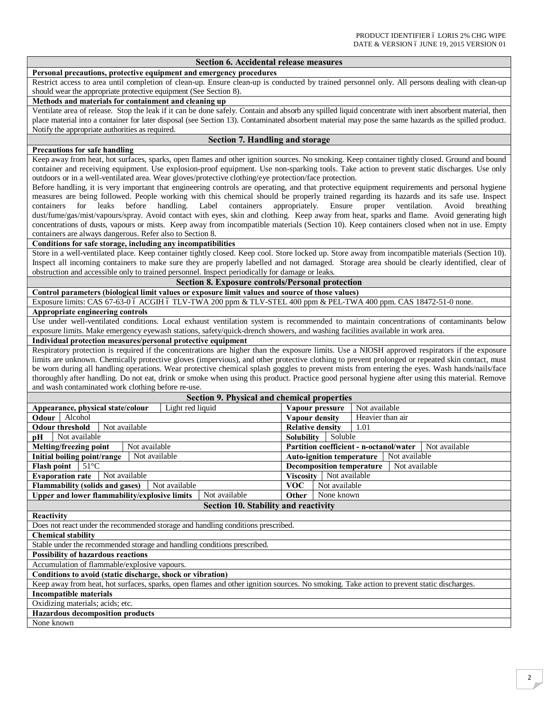| Section 6. Accidental release measures                                                                                                                   |                                                                 |  |  |  |
|----------------------------------------------------------------------------------------------------------------------------------------------------------|-----------------------------------------------------------------|--|--|--|
| Personal precautions, protective equipment and emergency procedures                                                                                      |                                                                 |  |  |  |
| Restrict access to area until completion of clean-up. Ensure clean-up is conducted by trained personnel only. All persons dealing with clean-up          |                                                                 |  |  |  |
| should wear the appropriate protective equipment (See Section 8).                                                                                        |                                                                 |  |  |  |
| Methods and materials for containment and cleaning up                                                                                                    |                                                                 |  |  |  |
| Ventilate area of release. Stop the leak if it can be done safely. Contain and absorb any spilled liquid concentrate with inert absorbent material, then |                                                                 |  |  |  |
| place material into a container for later disposal (see Section 13). Contaminated absorbent material may pose the same hazards as the spilled product.   |                                                                 |  |  |  |
| Notify the appropriate authorities as required.                                                                                                          |                                                                 |  |  |  |
| <b>Section 7. Handling and storage</b>                                                                                                                   |                                                                 |  |  |  |
| <b>Precautions for safe handling</b>                                                                                                                     |                                                                 |  |  |  |
| Keep away from heat, hot surfaces, sparks, open flames and other ignition sources. No smoking. Keep container tightly closed. Ground and bound           |                                                                 |  |  |  |
| container and receiving equipment. Use explosion-proof equipment. Use non-sparking tools. Take action to prevent static discharges. Use only             |                                                                 |  |  |  |
| outdoors or in a well-ventilated area. Wear gloves/protective clothing/eye protection/face protection.                                                   |                                                                 |  |  |  |
| Before handling, it is very important that engineering controls are operating, and that protective equipment requirements and personal hygiene           |                                                                 |  |  |  |
| measures are being followed. People working with this chemical should be properly trained regarding its hazards and its safe use. Inspect                |                                                                 |  |  |  |
| before handling.<br>Label<br>containers<br>containers<br>for<br>leaks                                                                                    | appropriately. Ensure proper ventilation.<br>Avoid<br>breathing |  |  |  |
| dust/fume/gas/mist/vapours/spray. Avoid contact with eyes, skin and clothing. Keep away from heat, sparks and flame. Avoid generating high               |                                                                 |  |  |  |
| concentrations of dusts, vapours or mists. Keep away from incompatible materials (Section 10). Keep containers closed when not in use. Empty             |                                                                 |  |  |  |
| containers are always dangerous. Refer also to Section 8.                                                                                                |                                                                 |  |  |  |
| Conditions for safe storage, including any incompatibilities                                                                                             |                                                                 |  |  |  |
| Store in a well-ventilated place. Keep container tightly closed. Keep cool. Store locked up. Store away from incompatible materials (Section 10).        |                                                                 |  |  |  |
| Inspect all incoming containers to make sure they are properly labelled and not damaged. Storage area should be clearly identified, clear of             |                                                                 |  |  |  |
| obstruction and accessible only to trained personnel. Inspect periodically for damage or leaks.                                                          |                                                                 |  |  |  |
| <b>Section 8. Exposure controls/Personal protection</b>                                                                                                  |                                                                 |  |  |  |
| Control parameters (biological limit values or exposure limit values and source of those values)                                                         |                                                                 |  |  |  |
| Exposure limits: CAS 67-63-0 ó ACGIH ó TLV-TWA 200 ppm & TLV-STEL 400 ppm & PEL-TWA 400 ppm. CAS 18472-51-0 none.                                        |                                                                 |  |  |  |
| Appropriate engineering controls                                                                                                                         |                                                                 |  |  |  |
| Use under well-ventilated conditions. Local exhaust ventilation system is recommended to maintain concentrations of contaminants below                   |                                                                 |  |  |  |
| exposure limits. Make emergency eyewash stations, safety/quick-drench showers, and washing facilities available in work area.                            |                                                                 |  |  |  |
| Individual protection measures/personal protective equipment                                                                                             |                                                                 |  |  |  |
| Respiratory protection is required if the concentrations are higher than the exposure limits. Use a NIOSH approved respirators if the exposure           |                                                                 |  |  |  |
| limits are unknown. Chemically protective gloves (impervious), and other protective clothing to prevent prolonged or repeated skin contact, must         |                                                                 |  |  |  |
| be worn during all handling operations. Wear protective chemical splash goggles to prevent mists from entering the eyes. Wash hands/nails/face           |                                                                 |  |  |  |
| thoroughly after handling. Do not eat, drink or smoke when using this product. Practice good personal hygiene after using this material. Remove          |                                                                 |  |  |  |
| and wash contaminated work clothing before re-use.                                                                                                       |                                                                 |  |  |  |
| Section 9. Physical and chemical properties                                                                                                              |                                                                 |  |  |  |
| Light red liquid<br>Appearance, physical state/colour                                                                                                    | Not available<br>Vapour pressure                                |  |  |  |
| Odour Alcohol                                                                                                                                            | Heavier than air<br><b>Vapour density</b>                       |  |  |  |
| <b>Odour threshold</b><br>Not available                                                                                                                  | <b>Relative density</b><br>1.01                                 |  |  |  |
| Not available<br>рH                                                                                                                                      | Soluble<br><b>Solubility</b>                                    |  |  |  |
| Melting/freezing point<br>Not available                                                                                                                  | Partition coefficient - n-octanol/water<br>Not available        |  |  |  |
| Initial boiling point/range<br>Not available                                                                                                             | <b>Auto-ignition temperature</b>   Not available                |  |  |  |
| $51^{\circ}$ C<br><b>Flash point</b>                                                                                                                     | <b>Decomposition temperature</b><br>Not available               |  |  |  |
| Not available<br><b>Evaporation rate</b>                                                                                                                 | Not available<br>Viscosity                                      |  |  |  |
| Not available<br><b>Flammability (solids and gases)</b>                                                                                                  | <b>VOC</b><br>Not available                                     |  |  |  |
| <b>Upper and lower flammability/explosive limits</b><br>Not available                                                                                    | Other<br>None known                                             |  |  |  |
| Section 10. Stability and reactivity                                                                                                                     |                                                                 |  |  |  |
| Reactivity                                                                                                                                               |                                                                 |  |  |  |
| Does not react under the recommended storage and handling conditions prescribed.                                                                         |                                                                 |  |  |  |
| <b>Chemical stability</b>                                                                                                                                |                                                                 |  |  |  |
| Stable under the recommended storage and handling conditions prescribed.                                                                                 |                                                                 |  |  |  |
| <b>Possibility of hazardous reactions</b>                                                                                                                |                                                                 |  |  |  |
|                                                                                                                                                          |                                                                 |  |  |  |
|                                                                                                                                                          |                                                                 |  |  |  |
| Accumulation of flammable/explosive vapours.                                                                                                             |                                                                 |  |  |  |
| Conditions to avoid (static discharge, shock or vibration)                                                                                               |                                                                 |  |  |  |
| Keep away from heat, hot surfaces, sparks, open flames and other ignition sources. No smoking. Take action to prevent static discharges.                 |                                                                 |  |  |  |
| <b>Incompatible materials</b>                                                                                                                            |                                                                 |  |  |  |
| Oxidizing materials; acids; etc.                                                                                                                         |                                                                 |  |  |  |
| <b>Hazardous decomposition products</b>                                                                                                                  |                                                                 |  |  |  |
| None known                                                                                                                                               |                                                                 |  |  |  |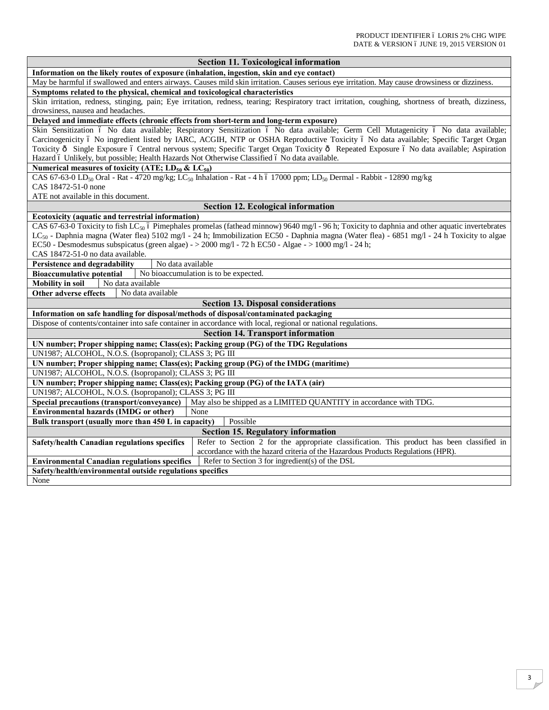| <b>Section 11. Toxicological information</b>                                                                                                               |  |  |  |
|------------------------------------------------------------------------------------------------------------------------------------------------------------|--|--|--|
| Information on the likely routes of exposure (inhalation, ingestion, skin and eye contact)                                                                 |  |  |  |
| May be harmful if swallowed and enters airways. Causes mild skin irritation. Causes serious eye irritation. May cause drowsiness or dizziness.             |  |  |  |
| Symptoms related to the physical, chemical and toxicological characteristics                                                                               |  |  |  |
| Skin irritation, redness, stinging, pain; Eye irritation, redness, tearing; Respiratory tract irritation, coughing, shortness of breath, dizziness,        |  |  |  |
| drowsiness, nausea and headaches.                                                                                                                          |  |  |  |
| Delayed and immediate effects (chronic effects from short-term and long-term exposure)                                                                     |  |  |  |
| Skin Sensitization ó No data available; Respiratory Sensitization ó No data available; Germ Cell Mutagenicity ó No data available;                         |  |  |  |
| Carcinogenicity ó No ingredient listed by IARC, ACGIH, NTP or OSHA Reproductive Toxicity ó No data available; Specific Target Organ                        |  |  |  |
| Toxicity ô Single Exposure ó Central nervous system; Specific Target Organ Toxicity ô Repeated Exposure ó No data available; Aspiration                    |  |  |  |
| Hazard ó Unlikely, but possible; Health Hazards Not Otherwise Classified ó No data available.                                                              |  |  |  |
| Numerical measures of toxicity (ATE; $LD_{50}$ & $LC_{50}$ )                                                                                               |  |  |  |
| CAS 67-63-0 LD <sub>50</sub> Oral - Rat - 4720 mg/kg; LC <sub>50</sub> Inhalation - Rat - 4 h ó 17000 ppm; LD <sub>50</sub> Dermal - Rabbit - 12890 mg/kg  |  |  |  |
| CAS 18472-51-0 none                                                                                                                                        |  |  |  |
| ATE not available in this document.                                                                                                                        |  |  |  |
| <b>Section 12. Ecological information</b>                                                                                                                  |  |  |  |
| Ecotoxicity (aquatic and terrestrial information)                                                                                                          |  |  |  |
| CAS 67-63-0 Toxicity to fish LC <sub>50</sub> 6 Pimephales promelas (fathead minnow) 9640 mg/l - 96 h; Toxicity to daphnia and other aquatic invertebrates |  |  |  |
| LC <sub>50</sub> - Daphnia magna (Water flea) 5102 mg/l - 24 h; Immobilization EC50 - Daphnia magna (Water flea) - 6851 mg/l - 24 h Toxicity to algae      |  |  |  |
| EC50 - Desmodesmus subspicatus (green algae) - $>$ 2000 mg/l - 72 h EC50 - Algae - $>$ 1000 mg/l - 24 h;                                                   |  |  |  |
| CAS 18472-51-0 no data available.                                                                                                                          |  |  |  |
| Persistence and degradability<br>No data available                                                                                                         |  |  |  |
| <b>Bioaccumulative potential</b><br>No bioaccumulation is to be expected.                                                                                  |  |  |  |
| <b>Mobility in soil</b><br>No data available                                                                                                               |  |  |  |
| Other adverse effects<br>No data available                                                                                                                 |  |  |  |
| <b>Section 13. Disposal considerations</b>                                                                                                                 |  |  |  |
| Information on safe handling for disposal/methods of disposal/contaminated packaging                                                                       |  |  |  |
| Dispose of contents/container into safe container in accordance with local, regional or national regulations.                                              |  |  |  |
| <b>Section 14. Transport information</b>                                                                                                                   |  |  |  |
| UN number; Proper shipping name; Class(es); Packing group (PG) of the TDG Regulations                                                                      |  |  |  |
| UN1987; ALCOHOL, N.O.S. (Isopropanol); CLASS 3; PG III                                                                                                     |  |  |  |
| UN number; Proper shipping name; Class(es); Packing group (PG) of the IMDG (maritime)                                                                      |  |  |  |
| UN1987; ALCOHOL, N.O.S. (Isopropanol); CLASS 3; PG III                                                                                                     |  |  |  |
| UN number; Proper shipping name; Class(es); Packing group (PG) of the IATA (air)                                                                           |  |  |  |
| UN1987; ALCOHOL, N.O.S. (Isopropanol); CLASS 3; PG III                                                                                                     |  |  |  |
| Special precautions (transport/conveyance)<br>May also be shipped as a LIMITED QUANTITY in accordance with TDG.                                            |  |  |  |
| <b>Environmental hazards (IMDG or other)</b><br>None                                                                                                       |  |  |  |
| Possible<br>Bulk transport (usually more than 450 L in capacity)                                                                                           |  |  |  |
| <b>Section 15. Regulatory information</b>                                                                                                                  |  |  |  |
| Refer to Section 2 for the appropriate classification. This product has been classified in<br>Safety/health Canadian regulations specifics                 |  |  |  |
| accordance with the hazard criteria of the Hazardous Products Regulations (HPR).                                                                           |  |  |  |
| Refer to Section 3 for ingredient(s) of the DSL<br><b>Environmental Canadian regulations specifics</b>                                                     |  |  |  |
| Safety/health/environmental outside regulations specifics                                                                                                  |  |  |  |
| None                                                                                                                                                       |  |  |  |